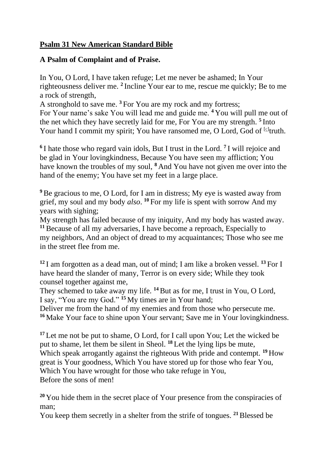## **Psalm 31 New American Standard Bible**

## **A Psalm of Complaint and of Praise.**

In You, O Lord, I have taken refuge; Let me never be ashamed; In Your righteousness deliver me. **<sup>2</sup>** Incline Your ear to me, rescue me quickly; Be to me a rock of strength,

A stronghold to save me. **<sup>3</sup>** For You are my rock and my fortress; For Your name's sake You will lead me and guide me. **<sup>4</sup>** You will pull me out of the net which they have secretly laid for me, For You are my strength. **<sup>5</sup>** Into Your hand I commit my spirit; You have ransomed me, O Lord, God of [\[c\]](https://www.biblegateway.com/passage/?search=psalm+31&version=NASB#fen-NASB-14337c)truth.

**6** I hate those who regard vain idols, But I trust in the Lord. **<sup>7</sup>** I will rejoice and be glad in Your lovingkindness, Because You have seen my affliction; You have known the troubles of my soul, **<sup>8</sup>** And You have not given me over into the hand of the enemy; You have set my feet in a large place.

**<sup>9</sup>**Be gracious to me, O Lord, for I am in distress; My eye is wasted away from grief, my soul and my body *also*. **<sup>10</sup>** For my life is spent with sorrow And my years with sighing;

My strength has failed because of my iniquity, And my body has wasted away. **<sup>11</sup>**Because of all my adversaries, I have become a reproach, Especially to my neighbors, And an object of dread to my acquaintances; Those who see me in the street flee from me.

**<sup>12</sup>** I am forgotten as a dead man, out of mind; I am like a broken vessel. **<sup>13</sup>** For I have heard the slander of many, Terror is on every side; While they took counsel together against me,

They schemed to take away my life. **<sup>14</sup>**But as for me, I trust in You, O Lord, I say, "You are my God." **<sup>15</sup>** My times are in Your hand;

Deliver me from the hand of my enemies and from those who persecute me. **<sup>16</sup>** Make Your face to shine upon Your servant; Save me in Your lovingkindness.

**<sup>17</sup>** Let me not be put to shame, O Lord, for I call upon You; Let the wicked be put to shame, let them be silent in Sheol. **<sup>18</sup>** Let the lying lips be mute, Which speak arrogantly against the righteous With pride and contempt. **<sup>19</sup>** How great is Your goodness, Which You have stored up for those who fear You, Which You have wrought for those who take refuge in You, Before the sons of men!

<sup>20</sup> You hide them in the secret place of Your presence from the conspiracies of man;

You keep them secretly in a shelter from the strife of tongues. **<sup>21</sup>**Blessed be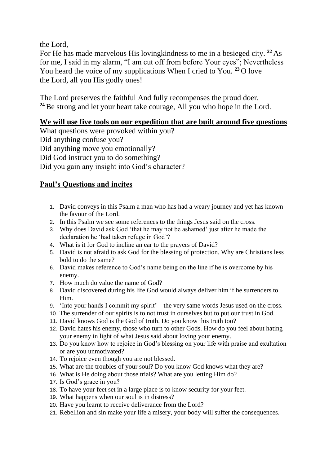the Lord,

For He has made marvelous His lovingkindness to me in a besieged city. **<sup>22</sup>** As for me, I said in my alarm, "I am cut off from before Your eyes"; Nevertheless You heard the voice of my supplications When I cried to You. **<sup>23</sup>** O love the Lord, all you His godly ones!

The Lord preserves the faithful And fully recompenses the proud doer. <sup>24</sup> Be strong and let your heart take courage, All you who hope in the Lord.

## **We will use five tools on our expedition that are built around five questions**

What questions were provoked within you? Did anything confuse you? Did anything move you emotionally? Did God instruct you to do something? Did you gain any insight into God's character?

## **Paul's Questions and incites**

- 1. David conveys in this Psalm a man who has had a weary journey and yet has known the favour of the Lord.
- 2. In this Psalm we see some references to the things Jesus said on the cross.
- 3. Why does David ask God 'that he may not be ashamed' just after he made the declaration he 'had taken refuge in God'?
- 4. What is it for God to incline an ear to the prayers of David?
- 5. David is not afraid to ask God for the blessing of protection. Why are Christians less bold to do the same?
- 6. David makes reference to God's name being on the line if he is overcome by his enemy.
- 7. How much do value the name of God?
- 8. David discovered during his life God would always deliver him if he surrenders to Him.
- 9. 'Into your hands I commit my spirit' the very same words Jesus used on the cross.
- 10. The surrender of our spirits is to not trust in ourselves but to put our trust in God.
- 11. David knows God is the God of truth. Do you know this truth too?
- 12. David hates his enemy, those who turn to other Gods. How do you feel about hating your enemy in light of what Jesus said about loving your enemy.
- 13. Do you know how to rejoice in God's blessing on your life with praise and exultation or are you unmotivated?
- 14. To rejoice even though you are not blessed.
- 15. What are the troubles of your soul? Do you know God knows what they are?
- 16. What is He doing about those trials? What are you letting Him do?
- 17. Is God's grace in you?
- 18. To have your feet set in a large place is to know security for your feet.
- 19. What happens when our soul is in distress?
- 20. Have you learnt to receive deliverance from the Lord?
- 21. Rebellion and sin make your life a misery, your body will suffer the consequences.